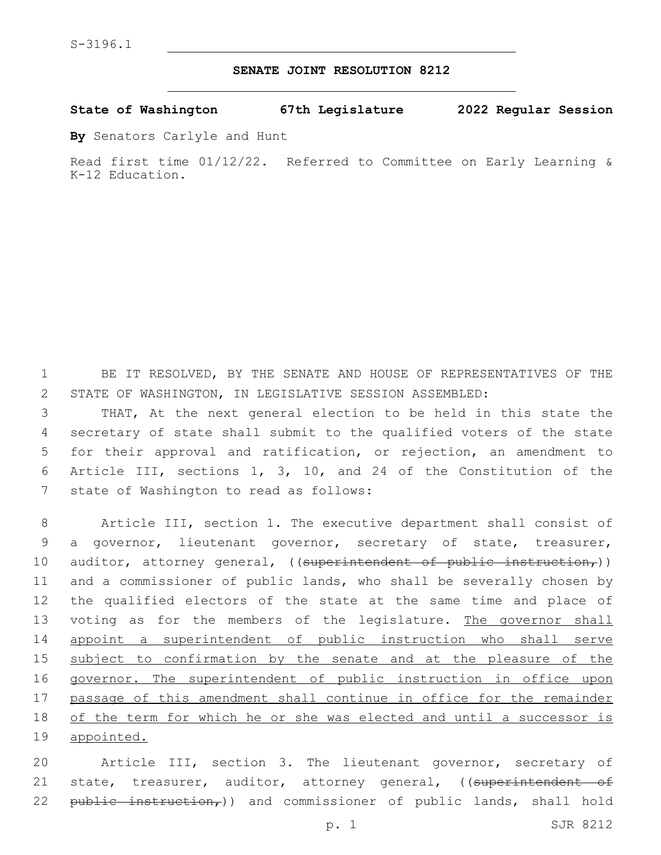## **SENATE JOINT RESOLUTION 8212**

**State of Washington 67th Legislature 2022 Regular Session**

**By** Senators Carlyle and Hunt

Read first time 01/12/22. Referred to Committee on Early Learning & K-12 Education.

1 BE IT RESOLVED, BY THE SENATE AND HOUSE OF REPRESENTATIVES OF THE 2 STATE OF WASHINGTON, IN LEGISLATIVE SESSION ASSEMBLED:

 THAT, At the next general election to be held in this state the secretary of state shall submit to the qualified voters of the state for their approval and ratification, or rejection, an amendment to Article III, sections 1, 3, 10, and 24 of the Constitution of the 7 state of Washington to read as follows:

8 Article III, section 1. The executive department shall consist of 9 a governor, lieutenant governor, secretary of state, treasurer, 10 auditor, attorney general, ((superintendent of public instruction,)) 11 and a commissioner of public lands, who shall be severally chosen by 12 the qualified electors of the state at the same time and place of 13 voting as for the members of the legislature. The governor shall 14 appoint a superintendent of public instruction who shall serve 15 subject to confirmation by the senate and at the pleasure of the 16 governor. The superintendent of public instruction in office upon 17 passage of this amendment shall continue in office for the remainder 18 of the term for which he or she was elected and until a successor is 19 appointed.

20 Article III, section 3. The lieutenant governor, secretary of 21 state, treasurer, auditor, attorney general, ((superintendent of 22 public instruction,)) and commissioner of public lands, shall hold

p. 1 SJR 8212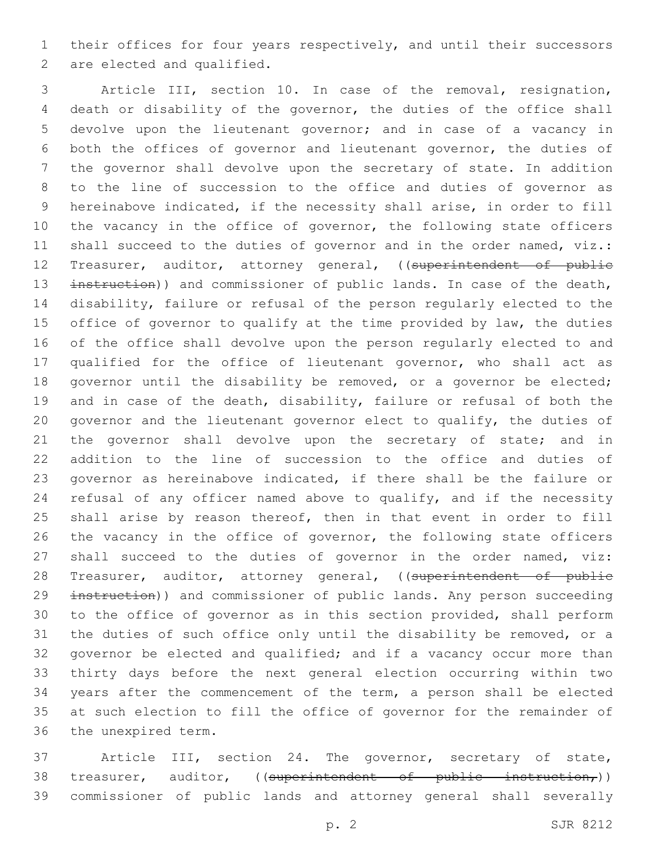their offices for four years respectively, and until their successors 2 are elected and qualified.

 Article III, section 10. In case of the removal, resignation, death or disability of the governor, the duties of the office shall devolve upon the lieutenant governor; and in case of a vacancy in both the offices of governor and lieutenant governor, the duties of the governor shall devolve upon the secretary of state. In addition to the line of succession to the office and duties of governor as hereinabove indicated, if the necessity shall arise, in order to fill 10 the vacancy in the office of governor, the following state officers 11 shall succeed to the duties of governor and in the order named, viz.: 12 Treasurer, auditor, attorney general, ((superintendent of public 13 instruction)) and commissioner of public lands. In case of the death, disability, failure or refusal of the person regularly elected to the office of governor to qualify at the time provided by law, the duties of the office shall devolve upon the person regularly elected to and qualified for the office of lieutenant governor, who shall act as governor until the disability be removed, or a governor be elected; and in case of the death, disability, failure or refusal of both the governor and the lieutenant governor elect to qualify, the duties of 21 the governor shall devolve upon the secretary of state; and in addition to the line of succession to the office and duties of governor as hereinabove indicated, if there shall be the failure or 24 refusal of any officer named above to qualify, and if the necessity shall arise by reason thereof, then in that event in order to fill the vacancy in the office of governor, the following state officers shall succeed to the duties of governor in the order named, viz: 28 Treasurer, auditor, attorney general, ((superintendent of public 29 instruction)) and commissioner of public lands. Any person succeeding to the office of governor as in this section provided, shall perform the duties of such office only until the disability be removed, or a governor be elected and qualified; and if a vacancy occur more than thirty days before the next general election occurring within two years after the commencement of the term, a person shall be elected at such election to fill the office of governor for the remainder of 36 the unexpired term.

 Article III, section 24. The governor, secretary of state, 38 treasurer, auditor, ((superintendent of public instruction,)) commissioner of public lands and attorney general shall severally